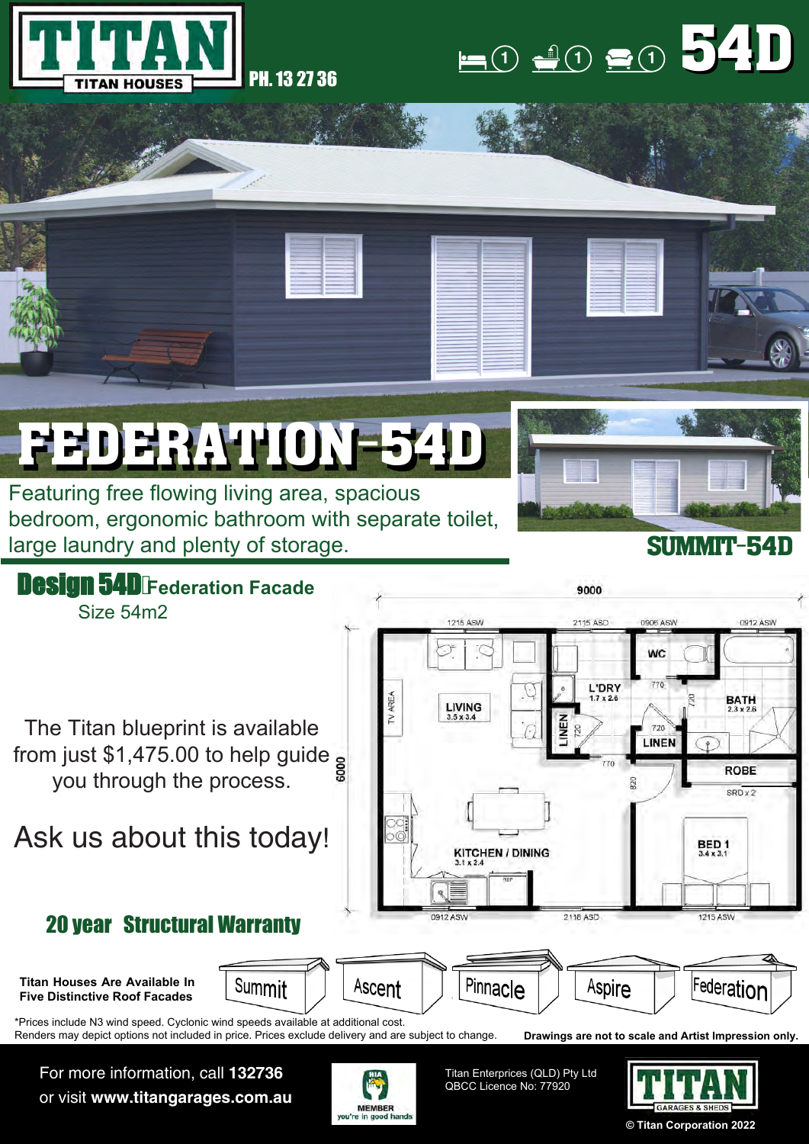



## FEDERATION-54D FEDERATION-54D

Featuring free flowing living area, spacious bedroom, ergonomic bathroom with separate toilet, large laundry and plenty of storage.



## SUMMIT-54D



For more information, call **132736** or visit **www.titangarages.com.au**



Titan Enterprices (QLD) Pty Ltd QBCC Licence No: 77920



**© Titan Corporation 2022**